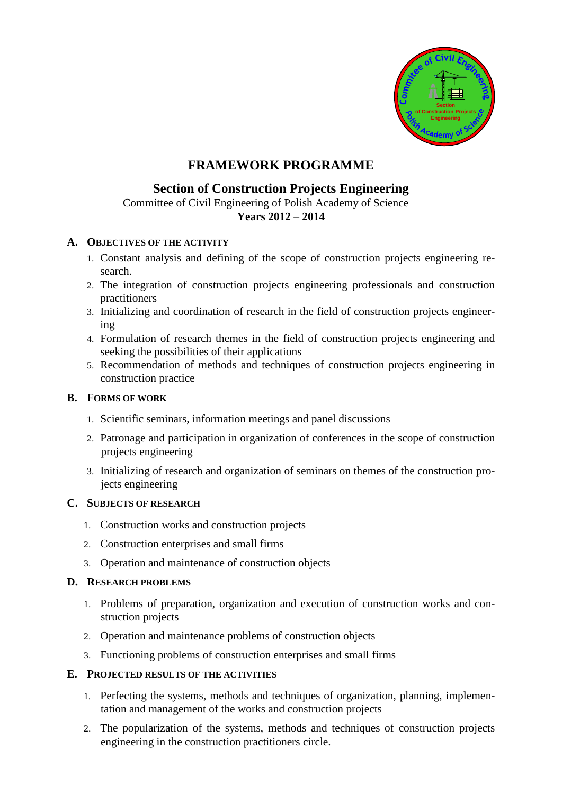

# **FRAMEWORK PROGRAMME**

## **Section of Construction Projects Engineering**

 Committee of Civil Engineering of Polish Academy of Science **Years 2012 – 2014**

### **A. OBJECTIVES OF THE ACTIVITY**

- 1. Constant analysis and defining of the scope of construction projects engineering research.
- 2. The integration of construction projects engineering professionals and construction practitioners
- 3. Initializing and coordination of research in the field of construction projects engineering
- 4. Formulation of research themes in the field of construction projects engineering and seeking the possibilities of their applications
- 5. Recommendation of methods and techniques of construction projects engineering in construction practice

### **B. FORMS OF WORK**

- 1. Scientific seminars, information meetings and panel discussions
- 2. Patronage and participation in organization of conferences in the scope of construction projects engineering
- 3. Initializing of research and organization of seminars on themes of the construction projects engineering

### **C. SUBJECTS OF RESEARCH**

- 1. Construction works and construction projects
- 2. Construction enterprises and small firms
- 3. Operation and maintenance of construction objects

### **D. RESEARCH PROBLEMS**

- 1. Problems of preparation, organization and execution of construction works and construction projects
- 2. Operation and maintenance problems of construction objects
- 3. Functioning problems of construction enterprises and small firms

#### **E. PROJECTED RESULTS OF THE ACTIVITIES**

- 1. Perfecting the systems, methods and techniques of organization, planning, implementation and management of the works and construction projects
- 2. The popularization of the systems, methods and techniques of construction projects engineering in the construction practitioners circle.